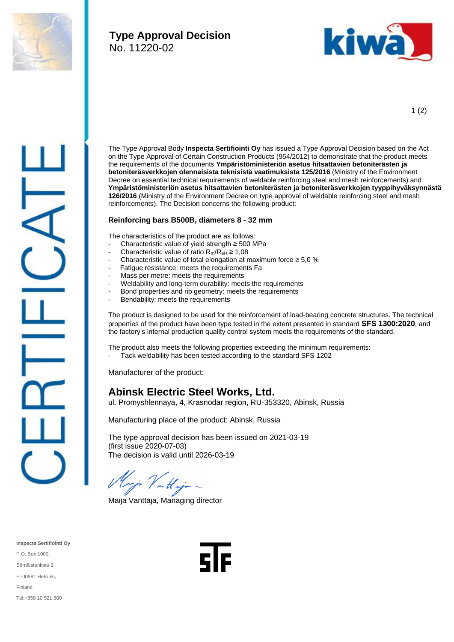

## **Type Approval Decision** No. 11220-02



1 (2)

The Type Approval Body **Inspecta Sertifiointi Oy** has issued a Type Approval Decision based on the Act on the Type Approval of Certain Construction Products (954/2012) to demonstrate that the product meets the requirements of the documents **Ympäristöministeriön asetus hitsattavien betoniterästen ja betoniteräsverkkojen olennaisista teknisistä vaatimuksista 125/2016** (Ministry of the Environment Decree on essential technical requirements of weldable reinforcing steel and mesh reinforcements) and **Ympäristöministeriön asetus hitsattavien betoniterästen ja betoniteräsverkkojen tyyppihyväksynnästä 126/2016** (Ministry of the Environment Decree on type approval of weldable reinforcing steel and mesh reinforcements). The Decision concerns the following product:

## **Reinforcing bars B500B, diameters 8 - 32 mm**

The characteristics of the product are as follows:

- Characteristic value of yield strength  $\geq$  500 MPa
- Characteristic value of ratio  $R_m/R_{eH} \ge 1,08$
- Characteristic value of total elongation at maximum force  $\geq 5.0$  %
- Fatigue resistance: meets the requirements Fa
- Mass per metre: meets the requirements
- Weldability and long-term durability: meets the requirements
- Bond properties and rib geometry: meets the requirements
- Bendability: meets the requirements

The product is designed to be used for the reinforcement of load-bearing concrete structures. The technical properties of the product have been type tested in the extent presented in standard **SFS 1300:2020**, and the factory's internal production quality control system meets the requirements of the standard.

The product also meets the following properties exceeding the minimum requirements:

- Tack weldability has been tested according to the standard SFS 1202

Manufacturer of the product:

## **Abinsk Electric Steel Works, Ltd.**

ul. Promyshlennaya, 4, Krasnodar region, RU-353320, Abinsk, Russia

Manufacturing place of the product: Abinsk, Russia

The type approval decision has been issued on 2021-03-19 (first issue 2020-07-03) The decision is valid until 2026-03-19

Klinja Vallaga

Maija Vanttaja, Managing director

**Inspecta Sertifiointi Oy** P.O. Box 1000, Sörnäistenkatu 2 FI-00581 Helsinki, Finland Tel.+358 10 521 600